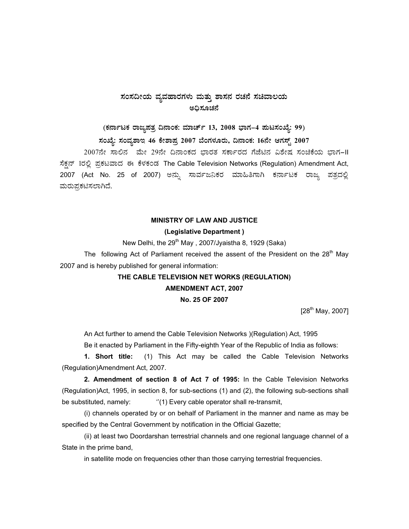# $\pi$ ನಂಸದೀಯ ವ್ಯವಹಾರಗಳು ಮತ್ತು ಶಾಸನ ರಚನೆ ಸಚಿವಾಲಯ ಅಧಿಸೂಚನೆ

(ಕರ್ನಾಟಕ ರಾಜ್ಯಪತ್ರ ದಿನಾಂಕ: ಮಾರ್ಚ್ 13, 2008 ಭಾಗ–4 **ಪುಟಸಂಖ್ಯೆ: 99**)

**¸ÀASÉå: ¸ÀAªÀå±ÁE 46 PÉñÁ¥Àæ 2007 ¨ÉAUÀ¼ÀÆgÀÄ, ¢£ÁAPÀ: 16£Éà DUÀ¸ïÖ 2007** 

2007ನೇ ಸಾಲಿನ ಮೇ 29ನೇ ದಿನಾಂಕದ ಭಾರತ ಸರ್ಕಾರದ ಗೆಜೆಟಿನ ವಿಶೇಷ ಸಂಚಿಕೆಯ ಭಾಗ-II ಸೆಕ್ಷನ್ 1ರಲ್ಲಿ ಪ್ರಕಟವಾದ ಈ ಕೆಳಕಂಡ The Cable Television Networks (Regulation) Amendment Act, 2007 (Act No. 25 of 2007) ಅನ್ನು ಸಾರ್ವಜನಿಕರ ಮಾಹಿತಿಗಾಗಿ ಕರ್ನಾಟಕ ರಾಜ್ಯ ಪತ್ರದಲ್ಲಿ ಮರುಪ್ರಕಟಿಸಲಾಗಿದೆ.

### **MINISTRY OF LAW AND JUSTICE**

#### **(Legislative Department )**

New Delhi, the  $29<sup>th</sup>$  May, 2007/Jyaistha 8, 1929 (Saka)

The following Act of Parliament received the assent of the President on the  $28<sup>th</sup>$  May 2007 and is hereby published for general information:

## **THE CABLE TELEVISION NET WORKS (REGULATION)**

### **AMENDMENT ACT, 2007**

### **No. 25 OF 2007**

 $[28^{th}$  May, 2007]

An Act further to amend the Cable Television Networks )(Regulation) Act, 1995

Be it enacted by Parliament in the Fifty-eighth Year of the Republic of India as follows:

**1. Short title:** (1) This Act may be called the Cable Television Networks (Regulation)Amendment Act, 2007.

 **2. Amendment of section 8 of Act 7 of 1995:** In the Cable Television Networks (Regulation)Act, 1995, in section 8, for sub-sections (1) and (2), the following sub-sections shall be substituted, namely:  $"$ (1) Every cable operator shall re-transmit,

(i) channels operated by or on behalf of Parliament in the manner and name as may be specified by the Central Government by notification in the Official Gazette;

(ii) at least two Doordarshan terrestrial channels and one regional language channel of a State in the prime band,

in satellite mode on frequencies other than those carrying terrestrial frequencies.